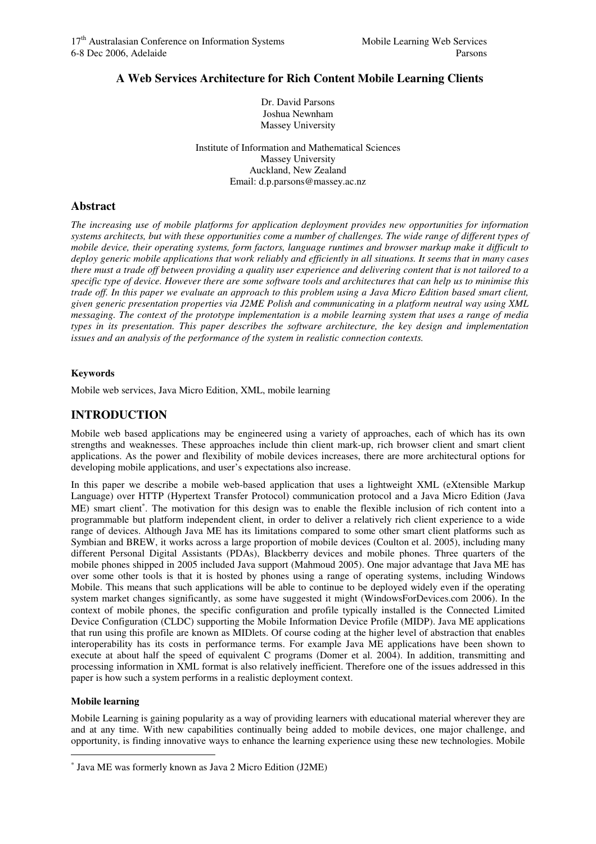Dr. David Parsons Joshua Newnham Massey University

**A Web Services Architecture for Rich Content Mobile Learning Clients** 

Institute of Information and Mathematical Sciences Massey University Auckland, New Zealand Email: d.p.parsons@massey.ac.nz

## **Abstract**

*The increasing use of mobile platforms for application deployment provides new opportunities for information systems architects, but with these opportunities come a number of challenges. The wide range of different types of mobile device, their operating systems, form factors, language runtimes and browser markup make it difficult to deploy generic mobile applications that work reliably and efficiently in all situations. It seems that in many cases there must a trade off between providing a quality user experience and delivering content that is not tailored to a specific type of device. However there are some software tools and architectures that can help us to minimise this trade off. In this paper we evaluate an approach to this problem using a Java Micro Edition based smart client, given generic presentation properties via J2ME Polish and communicating in a platform neutral way using XML messaging. The context of the prototype implementation is a mobile learning system that uses a range of media types in its presentation. This paper describes the software architecture, the key design and implementation issues and an analysis of the performance of the system in realistic connection contexts.* 

## **Keywords**

Mobile web services, Java Micro Edition, XML, mobile learning

# **INTRODUCTION**

Mobile web based applications may be engineered using a variety of approaches, each of which has its own strengths and weaknesses. These approaches include thin client mark-up, rich browser client and smart client applications. As the power and flexibility of mobile devices increases, there are more architectural options for developing mobile applications, and user's expectations also increase.

In this paper we describe a mobile web-based application that uses a lightweight XML (eXtensible Markup Language) over HTTP (Hypertext Transfer Protocol) communication protocol and a Java Micro Edition (Java ME) smart client<sup>\*</sup>. The motivation for this design was to enable the flexible inclusion of rich content into a programmable but platform independent client, in order to deliver a relatively rich client experience to a wide range of devices. Although Java ME has its limitations compared to some other smart client platforms such as Symbian and BREW, it works across a large proportion of mobile devices (Coulton et al. 2005), including many different Personal Digital Assistants (PDAs), Blackberry devices and mobile phones. Three quarters of the mobile phones shipped in 2005 included Java support (Mahmoud 2005). One major advantage that Java ME has over some other tools is that it is hosted by phones using a range of operating systems, including Windows Mobile. This means that such applications will be able to continue to be deployed widely even if the operating system market changes significantly, as some have suggested it might (WindowsForDevices.com 2006). In the context of mobile phones, the specific configuration and profile typically installed is the Connected Limited Device Configuration (CLDC) supporting the Mobile Information Device Profile (MIDP). Java ME applications that run using this profile are known as MIDlets. Of course coding at the higher level of abstraction that enables interoperability has its costs in performance terms. For example Java ME applications have been shown to execute at about half the speed of equivalent C programs (Domer et al. 2004). In addition, transmitting and processing information in XML format is also relatively inefficient. Therefore one of the issues addressed in this paper is how such a system performs in a realistic deployment context.

## **Mobile learning**

 $\overline{a}$ 

Mobile Learning is gaining popularity as a way of providing learners with educational material wherever they are and at any time. With new capabilities continually being added to mobile devices, one major challenge, and opportunity, is finding innovative ways to enhance the learning experience using these new technologies. Mobile

<sup>∗</sup> Java ME was formerly known as Java 2 Micro Edition (J2ME)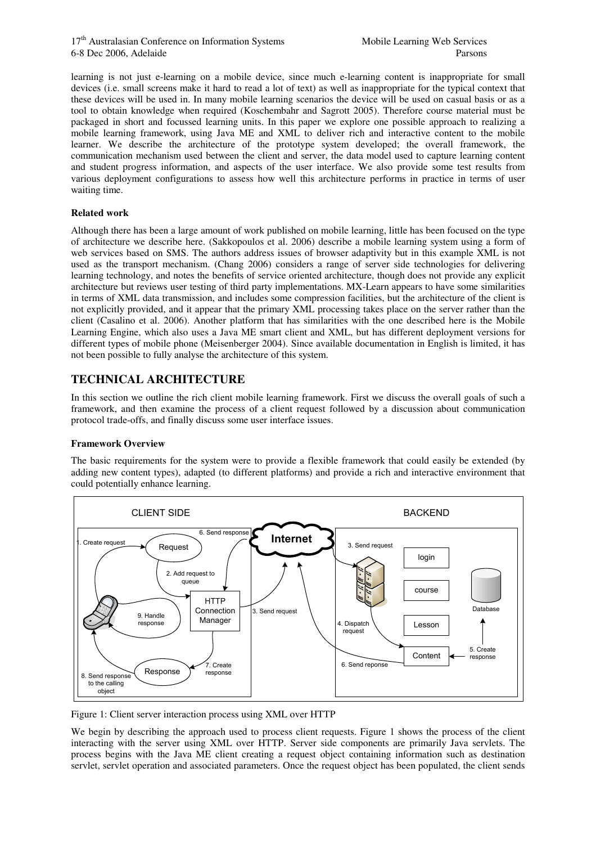learning is not just e-learning on a mobile device, since much e-learning content is inappropriate for small devices (i.e. small screens make it hard to read a lot of text) as well as inappropriate for the typical context that these devices will be used in. In many mobile learning scenarios the device will be used on casual basis or as a tool to obtain knowledge when required (Koschembahr and Sagrott 2005). Therefore course material must be packaged in short and focussed learning units. In this paper we explore one possible approach to realizing a mobile learning framework, using Java ME and XML to deliver rich and interactive content to the mobile learner. We describe the architecture of the prototype system developed; the overall framework, the communication mechanism used between the client and server, the data model used to capture learning content and student progress information, and aspects of the user interface. We also provide some test results from various deployment configurations to assess how well this architecture performs in practice in terms of user waiting time.

### **Related work**

Although there has been a large amount of work published on mobile learning, little has been focused on the type of architecture we describe here. (Sakkopoulos et al. 2006) describe a mobile learning system using a form of web services based on SMS. The authors address issues of browser adaptivity but in this example XML is not used as the transport mechanism. (Chang 2006) considers a range of server side technologies for delivering learning technology, and notes the benefits of service oriented architecture, though does not provide any explicit architecture but reviews user testing of third party implementations. MX-Learn appears to have some similarities in terms of XML data transmission, and includes some compression facilities, but the architecture of the client is not explicitly provided, and it appear that the primary XML processing takes place on the server rather than the client (Casalino et al. 2006). Another platform that has similarities with the one described here is the Mobile Learning Engine, which also uses a Java ME smart client and XML, but has different deployment versions for different types of mobile phone (Meisenberger 2004). Since available documentation in English is limited, it has not been possible to fully analyse the architecture of this system.

# **TECHNICAL ARCHITECTURE**

In this section we outline the rich client mobile learning framework. First we discuss the overall goals of such a framework, and then examine the process of a client request followed by a discussion about communication protocol trade-offs, and finally discuss some user interface issues.

## **Framework Overview**

The basic requirements for the system were to provide a flexible framework that could easily be extended (by adding new content types), adapted (to different platforms) and provide a rich and interactive environment that could potentially enhance learning.



Figure 1: Client server interaction process using XML over HTTP

We begin by describing the approach used to process client requests. Figure 1 shows the process of the client interacting with the server using XML over HTTP. Server side components are primarily Java servlets. The process begins with the Java ME client creating a request object containing information such as destination servlet, servlet operation and associated parameters. Once the request object has been populated, the client sends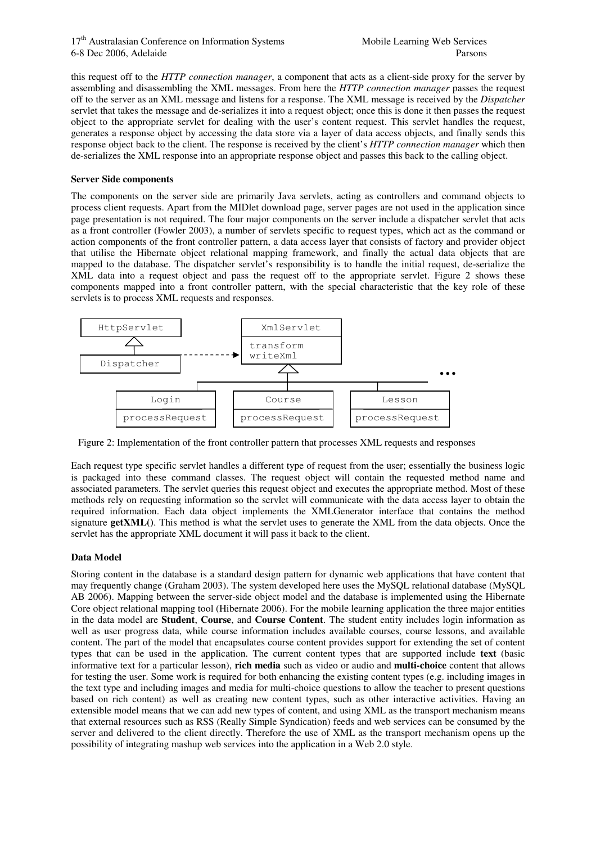this request off to the *HTTP connection manager*, a component that acts as a client-side proxy for the server by assembling and disassembling the XML messages. From here the *HTTP connection manager* passes the request off to the server as an XML message and listens for a response. The XML message is received by the *Dispatcher*  servlet that takes the message and de-serializes it into a request object; once this is done it then passes the request object to the appropriate servlet for dealing with the user's content request. This servlet handles the request, generates a response object by accessing the data store via a layer of data access objects, and finally sends this response object back to the client. The response is received by the client's *HTTP connection manager* which then de-serializes the XML response into an appropriate response object and passes this back to the calling object.

#### **Server Side components**

The components on the server side are primarily Java servlets, acting as controllers and command objects to process client requests. Apart from the MIDlet download page, server pages are not used in the application since page presentation is not required. The four major components on the server include a dispatcher servlet that acts as a front controller (Fowler 2003), a number of servlets specific to request types, which act as the command or action components of the front controller pattern, a data access layer that consists of factory and provider object that utilise the Hibernate object relational mapping framework, and finally the actual data objects that are mapped to the database. The dispatcher servlet's responsibility is to handle the initial request, de-serialize the XML data into a request object and pass the request off to the appropriate servlet. Figure 2 shows these components mapped into a front controller pattern, with the special characteristic that the key role of these servlets is to process XML requests and responses.



Figure 2: Implementation of the front controller pattern that processes XML requests and responses

Each request type specific servlet handles a different type of request from the user; essentially the business logic is packaged into these command classes. The request object will contain the requested method name and associated parameters. The servlet queries this request object and executes the appropriate method. Most of these methods rely on requesting information so the servlet will communicate with the data access layer to obtain the required information. Each data object implements the XMLGenerator interface that contains the method signature **getXML()**. This method is what the servlet uses to generate the XML from the data objects. Once the servlet has the appropriate XML document it will pass it back to the client.

### **Data Model**

Storing content in the database is a standard design pattern for dynamic web applications that have content that may frequently change (Graham 2003). The system developed here uses the MySQL relational database (MySQL AB 2006). Mapping between the server-side object model and the database is implemented using the Hibernate Core object relational mapping tool (Hibernate 2006). For the mobile learning application the three major entities in the data model are **Student**, **Course**, and **Course Content**. The student entity includes login information as well as user progress data, while course information includes available courses, course lessons, and available content. The part of the model that encapsulates course content provides support for extending the set of content types that can be used in the application. The current content types that are supported include **text** (basic informative text for a particular lesson), **rich media** such as video or audio and **multi-choice** content that allows for testing the user. Some work is required for both enhancing the existing content types (e.g. including images in the text type and including images and media for multi-choice questions to allow the teacher to present questions based on rich content) as well as creating new content types, such as other interactive activities. Having an extensible model means that we can add new types of content, and using XML as the transport mechanism means that external resources such as RSS (Really Simple Syndication) feeds and web services can be consumed by the server and delivered to the client directly. Therefore the use of XML as the transport mechanism opens up the possibility of integrating mashup web services into the application in a Web 2.0 style.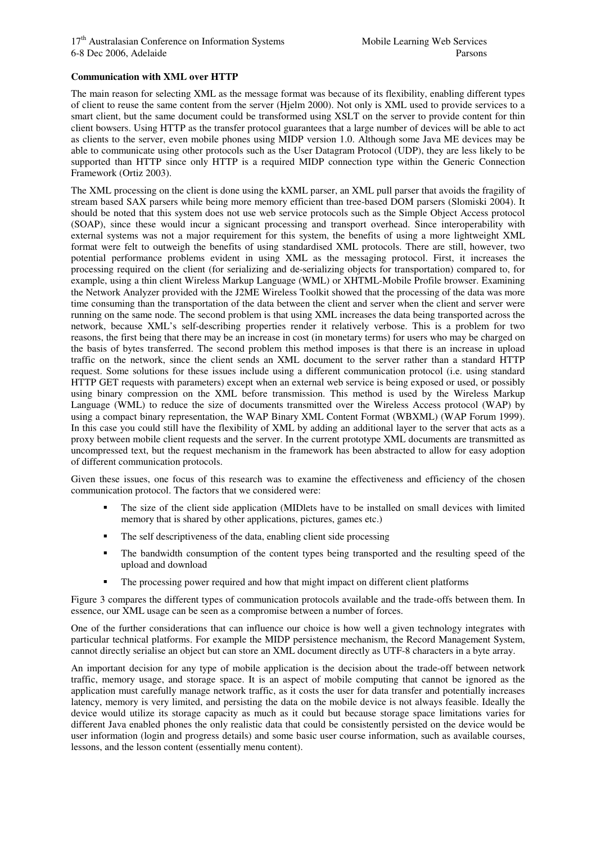#### **Communication with XML over HTTP**

The main reason for selecting XML as the message format was because of its flexibility, enabling different types of client to reuse the same content from the server (Hjelm 2000). Not only is XML used to provide services to a smart client, but the same document could be transformed using XSLT on the server to provide content for thin client bowsers. Using HTTP as the transfer protocol guarantees that a large number of devices will be able to act as clients to the server, even mobile phones using MIDP version 1.0. Although some Java ME devices may be able to communicate using other protocols such as the User Datagram Protocol (UDP), they are less likely to be supported than HTTP since only HTTP is a required MIDP connection type within the Generic Connection Framework (Ortiz 2003).

The XML processing on the client is done using the kXML parser, an XML pull parser that avoids the fragility of stream based SAX parsers while being more memory efficient than tree-based DOM parsers (Slomiski 2004). It should be noted that this system does not use web service protocols such as the Simple Object Access protocol (SOAP), since these would incur a signicant processing and transport overhead. Since interoperability with external systems was not a major requirement for this system, the benefits of using a more lightweight XML format were felt to outweigh the benefits of using standardised XML protocols. There are still, however, two potential performance problems evident in using XML as the messaging protocol. First, it increases the processing required on the client (for serializing and de-serializing objects for transportation) compared to, for example, using a thin client Wireless Markup Language (WML) or XHTML-Mobile Profile browser. Examining the Network Analyzer provided with the J2ME Wireless Toolkit showed that the processing of the data was more time consuming than the transportation of the data between the client and server when the client and server were running on the same node. The second problem is that using XML increases the data being transported across the network, because XML's self-describing properties render it relatively verbose. This is a problem for two reasons, the first being that there may be an increase in cost (in monetary terms) for users who may be charged on the basis of bytes transferred. The second problem this method imposes is that there is an increase in upload traffic on the network, since the client sends an XML document to the server rather than a standard HTTP request. Some solutions for these issues include using a different communication protocol (i.e. using standard HTTP GET requests with parameters) except when an external web service is being exposed or used, or possibly using binary compression on the XML before transmission. This method is used by the Wireless Markup Language (WML) to reduce the size of documents transmitted over the Wireless Access protocol (WAP) by using a compact binary representation, the WAP Binary XML Content Format (WBXML) (WAP Forum 1999). In this case you could still have the flexibility of XML by adding an additional layer to the server that acts as a proxy between mobile client requests and the server. In the current prototype XML documents are transmitted as uncompressed text, but the request mechanism in the framework has been abstracted to allow for easy adoption of different communication protocols.

Given these issues, one focus of this research was to examine the effectiveness and efficiency of the chosen communication protocol. The factors that we considered were:

- The size of the client side application (MIDlets have to be installed on small devices with limited memory that is shared by other applications, pictures, games etc.)
- The self descriptiveness of the data, enabling client side processing
- The bandwidth consumption of the content types being transported and the resulting speed of the upload and download
- The processing power required and how that might impact on different client platforms

Figure 3 compares the different types of communication protocols available and the trade-offs between them. In essence, our XML usage can be seen as a compromise between a number of forces.

One of the further considerations that can influence our choice is how well a given technology integrates with particular technical platforms. For example the MIDP persistence mechanism, the Record Management System, cannot directly serialise an object but can store an XML document directly as UTF-8 characters in a byte array.

An important decision for any type of mobile application is the decision about the trade-off between network traffic, memory usage, and storage space. It is an aspect of mobile computing that cannot be ignored as the application must carefully manage network traffic, as it costs the user for data transfer and potentially increases latency, memory is very limited, and persisting the data on the mobile device is not always feasible. Ideally the device would utilize its storage capacity as much as it could but because storage space limitations varies for different Java enabled phones the only realistic data that could be consistently persisted on the device would be user information (login and progress details) and some basic user course information, such as available courses, lessons, and the lesson content (essentially menu content).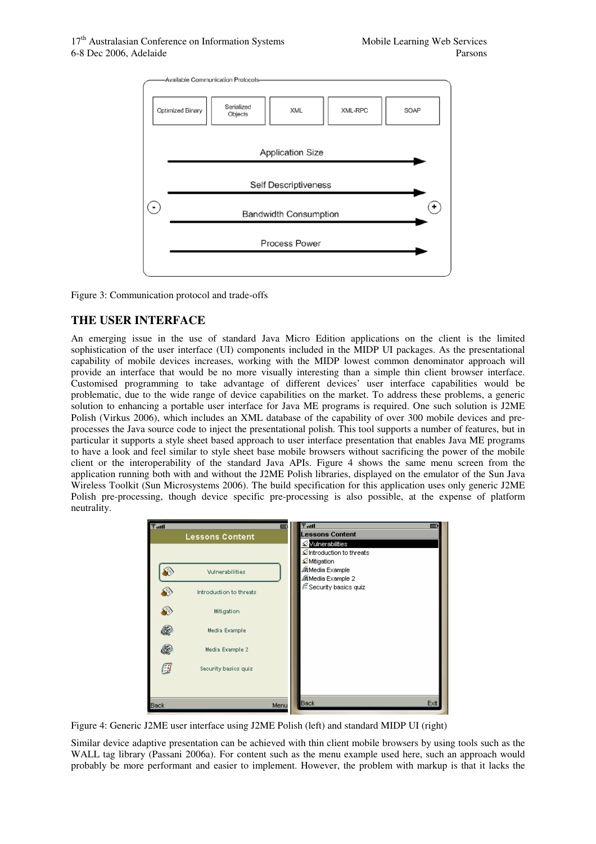

Figure 3: Communication protocol and trade-offs

# **THE USER INTERFACE**

An emerging issue in the use of standard Java Micro Edition applications on the client is the limited sophistication of the user interface (UI) components included in the MIDP UI packages. As the presentational capability of mobile devices increases, working with the MIDP lowest common denominator approach will provide an interface that would be no more visually interesting than a simple thin client browser interface. Customised programming to take advantage of different devices' user interface capabilities would be problematic, due to the wide range of device capabilities on the market. To address these problems, a generic solution to enhancing a portable user interface for Java ME programs is required. One such solution is J2ME Polish (Virkus 2006), which includes an XML database of the capability of over 300 mobile devices and preprocesses the Java source code to inject the presentational polish. This tool supports a number of features, but in particular it supports a style sheet based approach to user interface presentation that enables Java ME programs to have a look and feel similar to style sheet base mobile browsers without sacrificing the power of the mobile client or the interoperability of the standard Java APIs. Figure 4 shows the same menu screen from the application running both with and without the J2ME Polish libraries, displayed on the emulator of the Sun Java Wireless Toolkit (Sun Microsystems 2006). The build specification for this application uses only generic J2ME Polish pre-processing, though device specific pre-processing is also possible, at the expense of platform neutrality.



Figure 4: Generic J2ME user interface using J2ME Polish (left) and standard MIDP UI (right)

Similar device adaptive presentation can be achieved with thin client mobile browsers by using tools such as the WALL tag library (Passani 2006a). For content such as the menu example used here, such an approach would probably be more performant and easier to implement. However, the problem with markup is that it lacks the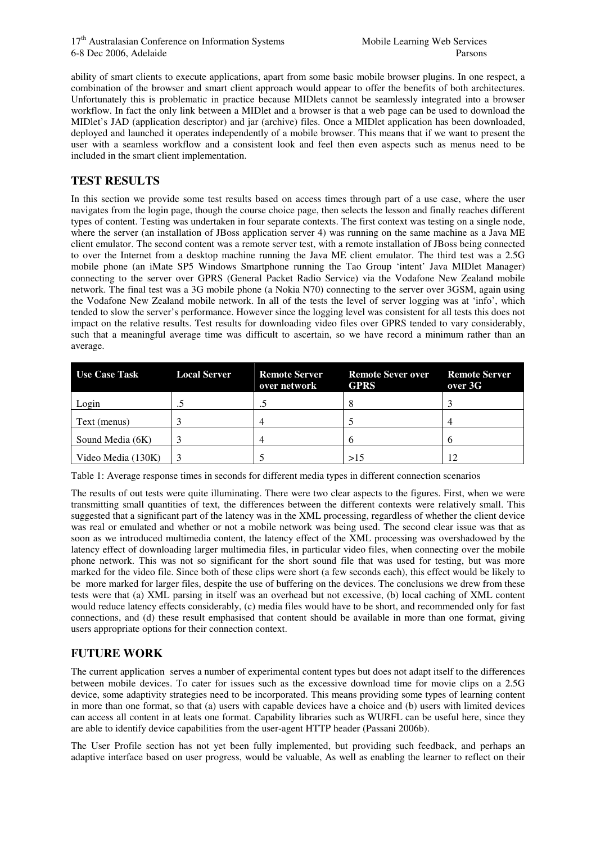ability of smart clients to execute applications, apart from some basic mobile browser plugins. In one respect, a combination of the browser and smart client approach would appear to offer the benefits of both architectures. Unfortunately this is problematic in practice because MIDlets cannot be seamlessly integrated into a browser workflow. In fact the only link between a MIDlet and a browser is that a web page can be used to download the MIDlet's JAD (application descriptor) and jar (archive) files. Once a MIDlet application has been downloaded, deployed and launched it operates independently of a mobile browser. This means that if we want to present the user with a seamless workflow and a consistent look and feel then even aspects such as menus need to be included in the smart client implementation.

## **TEST RESULTS**

In this section we provide some test results based on access times through part of a use case, where the user navigates from the login page, though the course choice page, then selects the lesson and finally reaches different types of content. Testing was undertaken in four separate contexts. The first context was testing on a single node, where the server (an installation of JBoss application server 4) was running on the same machine as a Java ME client emulator. The second content was a remote server test, with a remote installation of JBoss being connected to over the Internet from a desktop machine running the Java ME client emulator. The third test was a 2.5G mobile phone (an iMate SP5 Windows Smartphone running the Tao Group 'intent' Java MIDlet Manager) connecting to the server over GPRS (General Packet Radio Service) via the Vodafone New Zealand mobile network. The final test was a 3G mobile phone (a Nokia N70) connecting to the server over 3GSM, again using the Vodafone New Zealand mobile network. In all of the tests the level of server logging was at 'info', which tended to slow the server's performance. However since the logging level was consistent for all tests this does not impact on the relative results. Test results for downloading video files over GPRS tended to vary considerably, such that a meaningful average time was difficult to ascertain, so we have record a minimum rather than an average.

| <b>Use Case Task</b> | <b>Local Server</b> | <b>Remote Server</b><br>over network | <b>Remote Sever over</b><br><b>GPRS</b> | <b>Remote Server</b><br>over 3G |
|----------------------|---------------------|--------------------------------------|-----------------------------------------|---------------------------------|
| Login                |                     |                                      | ∩                                       |                                 |
| Text (menus)         |                     |                                      |                                         |                                 |
| Sound Media (6K)     |                     |                                      | n                                       | h                               |
| Video Media (130K)   |                     |                                      | >15                                     | 12                              |

Table 1: Average response times in seconds for different media types in different connection scenarios

The results of out tests were quite illuminating. There were two clear aspects to the figures. First, when we were transmitting small quantities of text, the differences between the different contexts were relatively small. This suggested that a significant part of the latency was in the XML processing, regardless of whether the client device was real or emulated and whether or not a mobile network was being used. The second clear issue was that as soon as we introduced multimedia content, the latency effect of the XML processing was overshadowed by the latency effect of downloading larger multimedia files, in particular video files, when connecting over the mobile phone network. This was not so significant for the short sound file that was used for testing, but was more marked for the video file. Since both of these clips were short (a few seconds each), this effect would be likely to be more marked for larger files, despite the use of buffering on the devices. The conclusions we drew from these tests were that (a) XML parsing in itself was an overhead but not excessive, (b) local caching of XML content would reduce latency effects considerably, (c) media files would have to be short, and recommended only for fast connections, and (d) these result emphasised that content should be available in more than one format, giving users appropriate options for their connection context.

# **FUTURE WORK**

The current application serves a number of experimental content types but does not adapt itself to the differences between mobile devices. To cater for issues such as the excessive download time for movie clips on a 2.5G device, some adaptivity strategies need to be incorporated. This means providing some types of learning content in more than one format, so that (a) users with capable devices have a choice and (b) users with limited devices can access all content in at leats one format. Capability libraries such as WURFL can be useful here, since they are able to identify device capabilities from the user-agent HTTP header (Passani 2006b).

The User Profile section has not yet been fully implemented, but providing such feedback, and perhaps an adaptive interface based on user progress, would be valuable, As well as enabling the learner to reflect on their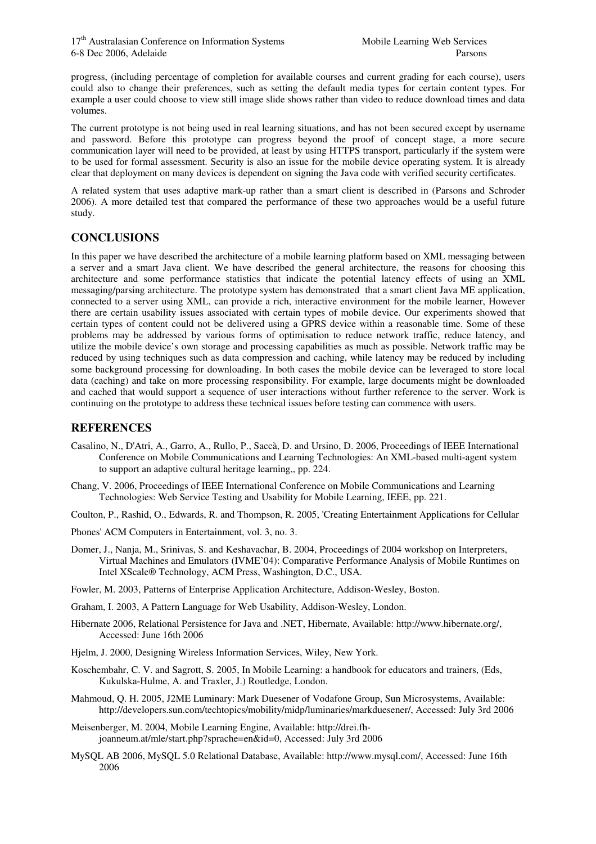progress, (including percentage of completion for available courses and current grading for each course), users could also to change their preferences, such as setting the default media types for certain content types. For example a user could choose to view still image slide shows rather than video to reduce download times and data volumes.

The current prototype is not being used in real learning situations, and has not been secured except by username and password. Before this prototype can progress beyond the proof of concept stage, a more secure communication layer will need to be provided, at least by using HTTPS transport, particularly if the system were to be used for formal assessment. Security is also an issue for the mobile device operating system. It is already clear that deployment on many devices is dependent on signing the Java code with verified security certificates.

A related system that uses adaptive mark-up rather than a smart client is described in (Parsons and Schroder 2006). A more detailed test that compared the performance of these two approaches would be a useful future study.

# **CONCLUSIONS**

In this paper we have described the architecture of a mobile learning platform based on XML messaging between a server and a smart Java client. We have described the general architecture, the reasons for choosing this architecture and some performance statistics that indicate the potential latency effects of using an XML messaging/parsing architecture. The prototype system has demonstrated that a smart client Java ME application, connected to a server using XML, can provide a rich, interactive environment for the mobile learner, However there are certain usability issues associated with certain types of mobile device. Our experiments showed that certain types of content could not be delivered using a GPRS device within a reasonable time. Some of these problems may be addressed by various forms of optimisation to reduce network traffic, reduce latency, and utilize the mobile device's own storage and processing capabilities as much as possible. Network traffic may be reduced by using techniques such as data compression and caching, while latency may be reduced by including some background processing for downloading. In both cases the mobile device can be leveraged to store local data (caching) and take on more processing responsibility. For example, large documents might be downloaded and cached that would support a sequence of user interactions without further reference to the server. Work is continuing on the prototype to address these technical issues before testing can commence with users.

## **REFERENCES**

- Casalino, N., D'Atri, A., Garro, A., Rullo, P., Saccà, D. and Ursino, D. 2006, Proceedings of IEEE International Conference on Mobile Communications and Learning Technologies: An XML-based multi-agent system to support an adaptive cultural heritage learning,, pp. 224.
- Chang, V. 2006, Proceedings of IEEE International Conference on Mobile Communications and Learning Technologies: Web Service Testing and Usability for Mobile Learning, IEEE, pp. 221.
- Coulton, P., Rashid, O., Edwards, R. and Thompson, R. 2005, 'Creating Entertainment Applications for Cellular
- Phones' ACM Computers in Entertainment, vol. 3, no. 3.
- Domer, J., Nanja, M., Srinivas, S. and Keshavachar, B. 2004, Proceedings of 2004 workshop on Interpreters, Virtual Machines and Emulators (IVME'04): Comparative Performance Analysis of Mobile Runtimes on Intel XScale® Technology, ACM Press, Washington, D.C., USA.
- Fowler, M. 2003, Patterns of Enterprise Application Architecture, Addison-Wesley, Boston.
- Graham, I. 2003, A Pattern Language for Web Usability, Addison-Wesley, London.
- Hibernate 2006, Relational Persistence for Java and .NET, Hibernate, Available: http://www.hibernate.org/, Accessed: June 16th 2006
- Hjelm, J. 2000, Designing Wireless Information Services, Wiley, New York.
- Koschembahr, C. V. and Sagrott, S. 2005, In Mobile Learning: a handbook for educators and trainers, (Eds, Kukulska-Hulme, A. and Traxler, J.) Routledge, London.
- Mahmoud, Q. H. 2005, J2ME Luminary: Mark Duesener of Vodafone Group, Sun Microsystems, Available: http://developers.sun.com/techtopics/mobility/midp/luminaries/markduesener/, Accessed: July 3rd 2006
- Meisenberger, M. 2004, Mobile Learning Engine, Available: http://drei.fhjoanneum.at/mle/start.php?sprache=en&id=0, Accessed: July 3rd 2006
- MySQL AB 2006, MySQL 5.0 Relational Database, Available: http://www.mysql.com/, Accessed: June 16th 2006